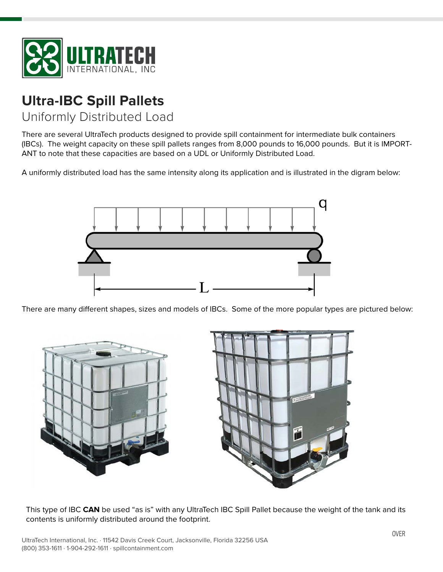

## **Ultra-IBC Spill Pallets**

Uniformly Distributed Load

There are several UltraTech products designed to provide spill containment for intermediate bulk containers (IBCs). The weight capacity on these spill pallets ranges from 8,000 pounds to 16,000 pounds. But it is IMPORT-ANT to note that these capacities are based on a UDL or Uniformly Distributed Load.

A uniformly distributed load has the same intensity along its application and is illustrated in the digram below:



There are many different shapes, sizes and models of IBCs. Some of the more popular types are pictured below:



This type of IBC **CAN** be used "as is" with any UltraTech IBC Spill Pallet because the weight of the tank and its contents is uniformly distributed around the footprint.